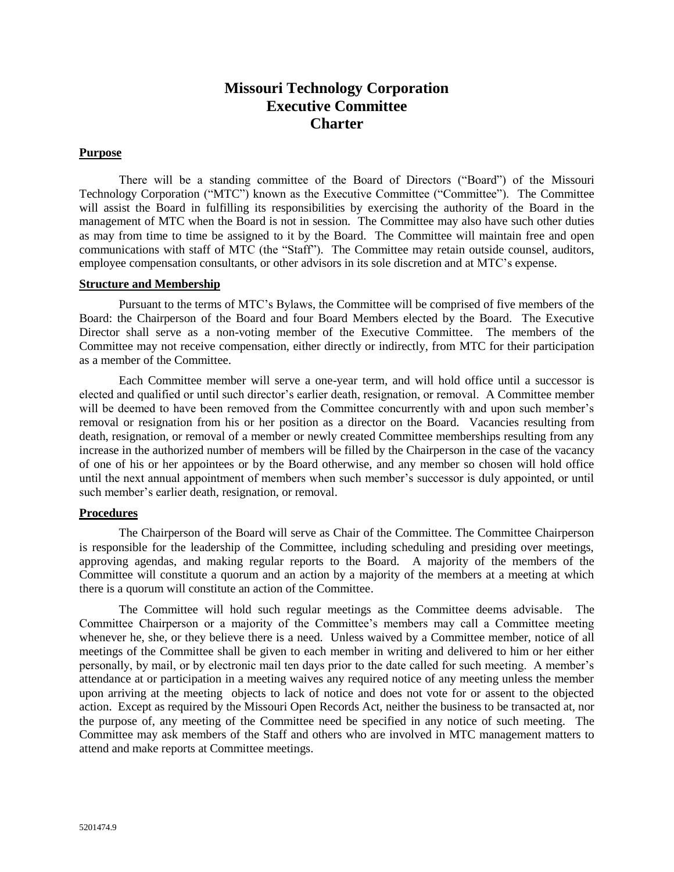# **Missouri Technology Corporation Executive Committee Charter**

### **Purpose**

There will be a standing committee of the Board of Directors ("Board") of the Missouri Technology Corporation ("MTC") known as the Executive Committee ("Committee"). The Committee will assist the Board in fulfilling its responsibilities by exercising the authority of the Board in the management of MTC when the Board is not in session. The Committee may also have such other duties as may from time to time be assigned to it by the Board. The Committee will maintain free and open communications with staff of MTC (the "Staff"). The Committee may retain outside counsel, auditors, employee compensation consultants, or other advisors in its sole discretion and at MTC's expense.

#### **Structure and Membership**

Pursuant to the terms of MTC's Bylaws, the Committee will be comprised of five members of the Board: the Chairperson of the Board and four Board Members elected by the Board. The Executive Director shall serve as a non-voting member of the Executive Committee. The members of the Committee may not receive compensation, either directly or indirectly, from MTC for their participation as a member of the Committee.

Each Committee member will serve a one-year term, and will hold office until a successor is elected and qualified or until such director's earlier death, resignation, or removal. A Committee member will be deemed to have been removed from the Committee concurrently with and upon such member's removal or resignation from his or her position as a director on the Board. Vacancies resulting from death, resignation, or removal of a member or newly created Committee memberships resulting from any increase in the authorized number of members will be filled by the Chairperson in the case of the vacancy of one of his or her appointees or by the Board otherwise, and any member so chosen will hold office until the next annual appointment of members when such member's successor is duly appointed, or until such member's earlier death, resignation, or removal.

#### **Procedures**

The Chairperson of the Board will serve as Chair of the Committee. The Committee Chairperson is responsible for the leadership of the Committee, including scheduling and presiding over meetings, approving agendas, and making regular reports to the Board. A majority of the members of the Committee will constitute a quorum and an action by a majority of the members at a meeting at which there is a quorum will constitute an action of the Committee.

The Committee will hold such regular meetings as the Committee deems advisable. The Committee Chairperson or a majority of the Committee's members may call a Committee meeting whenever he, she, or they believe there is a need. Unless waived by a Committee member, notice of all meetings of the Committee shall be given to each member in writing and delivered to him or her either personally, by mail, or by electronic mail ten days prior to the date called for such meeting. A member's attendance at or participation in a meeting waives any required notice of any meeting unless the member upon arriving at the meeting objects to lack of notice and does not vote for or assent to the objected action. Except as required by the Missouri Open Records Act, neither the business to be transacted at, nor the purpose of, any meeting of the Committee need be specified in any notice of such meeting. The Committee may ask members of the Staff and others who are involved in MTC management matters to attend and make reports at Committee meetings.